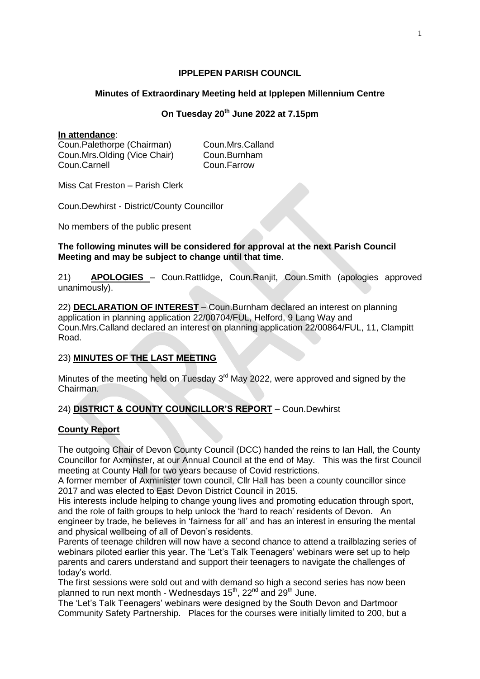# **IPPLEPEN PARISH COUNCIL**

# **Minutes of Extraordinary Meeting held at Ipplepen Millennium Centre**

# **On Tuesday 20th June 2022 at 7.15pm**

### **In attendance**:

Coun.Palethorpe (Chairman) Coun.Mrs.Calland Coun.Mrs.Olding (Vice Chair) Coun.Burnham Coun.Carnell Coun.Farrow

Miss Cat Freston – Parish Clerk

Coun.Dewhirst - District/County Councillor

No members of the public present

### **The following minutes will be considered for approval at the next Parish Council Meeting and may be subject to change until that time**.

21) **APOLOGIES** – Coun.Rattlidge, Coun.Ranjit, Coun.Smith (apologies approved unanimously).

22) **DECLARATION OF INTEREST** – Coun.Burnham declared an interest on planning application in planning application 22/00704/FUL, Helford, 9 Lang Way and Coun.Mrs.Calland declared an interest on planning application 22/00864/FUL, 11, Clampitt Road.

# 23) **MINUTES OF THE LAST MEETING**

Minutes of the meeting held on Tuesday  $3<sup>rd</sup>$  May 2022, were approved and signed by the Chairman.

# 24) **DISTRICT & COUNTY COUNCILLOR'S REPORT** – Coun.Dewhirst

# **County Report**

The outgoing Chair of Devon County Council (DCC) handed the reins to Ian Hall, the County Councillor for Axminster, at our Annual Council at the end of May. This was the first Council meeting at County Hall for two years because of Covid restrictions.

A former member of Axminister town council, Cllr Hall has been a county councillor since 2017 and was elected to East Devon District Council in 2015.

His interests include helping to change young lives and promoting education through sport, and the role of faith groups to help unlock the 'hard to reach' residents of Devon. An engineer by trade, he believes in 'fairness for all' and has an interest in ensuring the mental and physical wellbeing of all of Devon's residents.

Parents of teenage children will now have a second chance to attend a trailblazing series of webinars piloted earlier this year. The 'Let's Talk Teenagers' webinars were set up to help parents and carers understand and support their teenagers to navigate the challenges of today's world.

The first sessions were sold out and with demand so high a second series has now been planned to run next month - Wednesdays 15<sup>th</sup>, 22<sup>nd</sup> and 29<sup>th</sup> June.

The 'Let's Talk Teenagers' webinars were designed by the South Devon and Dartmoor Community Safety Partnership. Places for the courses were initially limited to 200, but a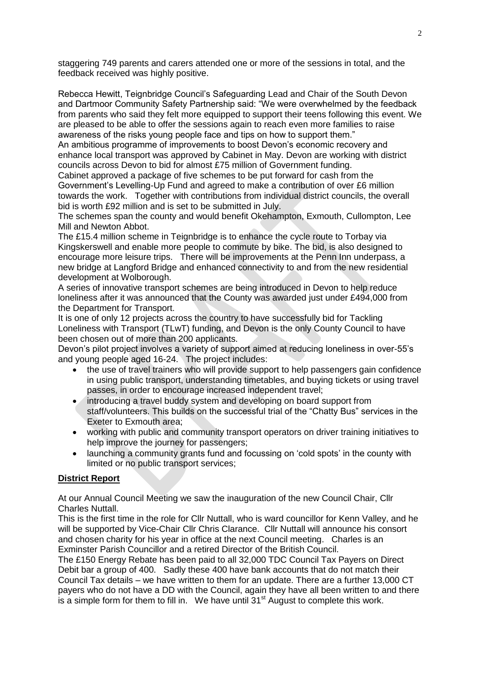staggering 749 parents and carers attended one or more of the sessions in total, and the feedback received was highly positive.

Rebecca Hewitt, Teignbridge Council's Safeguarding Lead and Chair of the South Devon and Dartmoor Community Safety Partnership said: "We were overwhelmed by the feedback from parents who said they felt more equipped to support their teens following this event. We are pleased to be able to offer the sessions again to reach even more families to raise awareness of the risks young people face and tips on how to support them."

An ambitious programme of improvements to boost Devon's economic recovery and enhance local transport was approved by Cabinet in May. Devon are working with district councils across Devon to bid for almost £75 million of Government funding.

Cabinet approved a package of five schemes to be put forward for cash from the Government's Levelling-Up Fund and agreed to make a contribution of over £6 million towards the work. Together with contributions from individual district councils, the overall bid is worth £92 million and is set to be submitted in July.

The schemes span the county and would benefit Okehampton, Exmouth, Cullompton, Lee Mill and Newton Abbot.

The £15.4 million scheme in Teignbridge is to enhance the cycle route to Torbay via Kingskerswell and enable more people to commute by bike. The bid, is also designed to encourage more leisure trips. There will be improvements at the Penn Inn underpass, a new bridge at Langford Bridge and enhanced connectivity to and from the new residential development at Wolborough.

A series of innovative transport schemes are being introduced in Devon to help reduce loneliness after it was announced that the County was awarded just under £494,000 from the Department for Transport.

It is one of only 12 projects across the country to have successfully bid for Tackling Loneliness with Transport (TLwT) funding, and Devon is the only County Council to have been chosen out of more than 200 applicants.

Devon's pilot project involves a variety of support aimed at reducing loneliness in over-55's and young people aged 16-24. The project includes:

- the use of travel trainers who will provide support to help passengers gain confidence in using public transport, understanding timetables, and buying tickets or using travel passes, in order to encourage increased independent travel;
- introducing a travel buddy system and developing on board support from staff/volunteers. This builds on the successful trial of the "Chatty Bus" services in the Exeter to Exmouth area;
- working with public and community transport operators on driver training initiatives to help improve the journey for passengers;
- launching a community grants fund and focussing on 'cold spots' in the county with limited or no public transport services;

# **District Report**

At our Annual Council Meeting we saw the inauguration of the new Council Chair, Cllr Charles Nuttall.

This is the first time in the role for Cllr Nuttall, who is ward councillor for Kenn Valley, and he will be supported by Vice-Chair Cllr Chris Clarance. Cllr Nuttall will announce his consort and chosen charity for his year in office at the next Council meeting. Charles is an Exminster Parish Councillor and a retired Director of the British Council.

The £150 Energy Rebate has been paid to all 32,000 TDC Council Tax Payers on Direct Debit bar a group of 400. Sadly these 400 have bank accounts that do not match their Council Tax details – we have written to them for an update. There are a further 13,000 CT payers who do not have a DD with the Council, again they have all been written to and there is a simple form for them to fill in. We have until  $31<sup>st</sup>$  August to complete this work.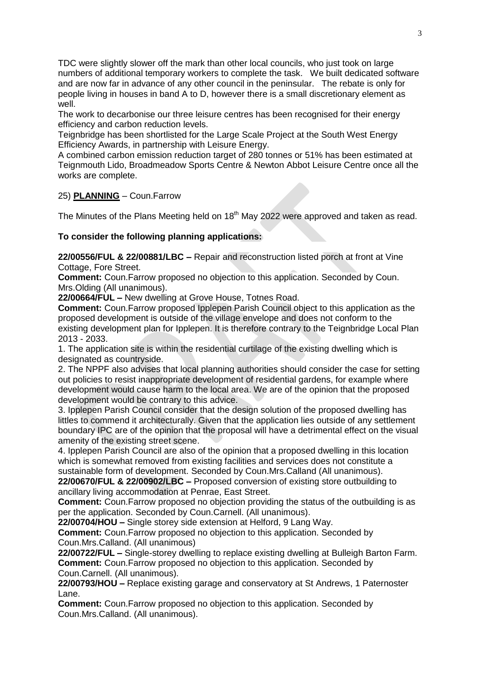TDC were slightly slower off the mark than other local councils, who just took on large numbers of additional temporary workers to complete the task. We built dedicated software and are now far in advance of any other council in the peninsular. The rebate is only for people living in houses in band A to D, however there is a small discretionary element as well.

The work to decarbonise our three leisure centres has been recognised for their energy efficiency and carbon reduction levels.

Teignbridge has been shortlisted for the Large Scale Project at the South West Energy Efficiency Awards, in partnership with Leisure Energy.

A combined carbon emission reduction target of 280 tonnes or 51% has been estimated at Teignmouth Lido, Broadmeadow Sports Centre & Newton Abbot Leisure Centre once all the works are complete.

# 25) **PLANNING** – Coun.Farrow

The Minutes of the Plans Meeting held on 18<sup>th</sup> May 2022 were approved and taken as read.

#### **To consider the following planning applications:**

**22/00556/FUL & 22/00881/LBC –** Repair and reconstruction listed porch at front at Vine Cottage, Fore Street.

**Comment:** Coun.Farrow proposed no objection to this application. Seconded by Coun. Mrs.Olding (All unanimous).

**22/00664/FUL –** New dwelling at Grove House, Totnes Road.

**Comment:** Coun.Farrow proposed Ipplepen Parish Council object to this application as the proposed development is outside of the village envelope and does not conform to the existing development plan for Ipplepen. It is therefore contrary to the Teignbridge Local Plan 2013 - 2033.

1. The application site is within the residential curtilage of the existing dwelling which is designated as countryside.

2. The NPPF also advises that local planning authorities should consider the case for setting out policies to resist inappropriate development of residential gardens, for example where development would cause harm to the local area. We are of the opinion that the proposed development would be contrary to this advice.

3. Ipplepen Parish Council consider that the design solution of the proposed dwelling has littles to commend it architecturally. Given that the application lies outside of any settlement boundary IPC are of the opinion that the proposal will have a detrimental effect on the visual amenity of the existing street scene.

4. Ipplepen Parish Council are also of the opinion that a proposed dwelling in this location which is somewhat removed from existing facilities and services does not constitute a sustainable form of development. Seconded by Coun.Mrs.Calland (All unanimous). **22/00670/FUL & 22/00902/LBC –** Proposed conversion of existing store outbuilding to

ancillary living accommodation at Penrae, East Street. **Comment:** Coun.Farrow proposed no objection providing the status of the outbuilding is as per the application. Seconded by Coun.Carnell. (All unanimous).

**22/00704/HOU –** Single storey side extension at Helford, 9 Lang Way.

**Comment:** Coun.Farrow proposed no objection to this application. Seconded by Coun.Mrs.Calland. (All unanimous)

**22/00722/FUL –** Single-storey dwelling to replace existing dwelling at Bulleigh Barton Farm. **Comment:** Coun.Farrow proposed no objection to this application. Seconded by Coun.Carnell. (All unanimous).

**22/00793/HOU –** Replace existing garage and conservatory at St Andrews, 1 Paternoster Lane.

**Comment:** Coun.Farrow proposed no objection to this application. Seconded by Coun.Mrs.Calland. (All unanimous).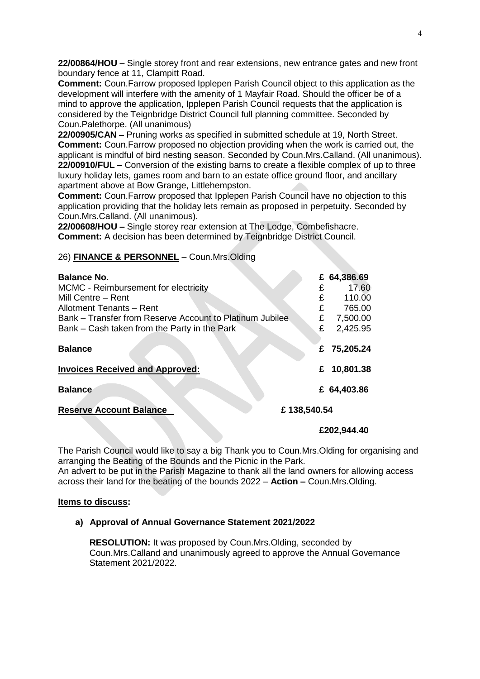**22/00864/HOU –** Single storey front and rear extensions, new entrance gates and new front boundary fence at 11, Clampitt Road.

**Comment:** Coun.Farrow proposed Ipplepen Parish Council object to this application as the development will interfere with the amenity of 1 Mayfair Road. Should the officer be of a mind to approve the application, Ipplepen Parish Council requests that the application is considered by the Teignbridge District Council full planning committee. Seconded by Coun.Palethorpe. (All unanimous)

**22/00905/CAN –** Pruning works as specified in submitted schedule at 19, North Street. **Comment:** Coun.Farrow proposed no objection providing when the work is carried out, the applicant is mindful of bird nesting season. Seconded by Coun.Mrs.Calland. (All unanimous). **22/00910/FUL –** Conversion of the existing barns to create a flexible complex of up to three luxury holiday lets, games room and barn to an estate office ground floor, and ancillary apartment above at Bow Grange, Littlehempston.

**Comment:** Coun.Farrow proposed that Ipplepen Parish Council have no objection to this application providing that the holiday lets remain as proposed in perpetuity. Seconded by Coun.Mrs.Calland. (All unanimous).

**22/00608/HOU –** Single storey rear extension at The Lodge, Combefishacre. **Comment:** A decision has been determined by Teignbridge District Council.

#### 26) **FINANCE & PERSONNEL** – Coun.Mrs.Olding

| <b>Balance No.</b>                                       |             | £ 64,386.69 |
|----------------------------------------------------------|-------------|-------------|
| MCMC - Reimbursement for electricity                     | £           | 17.60       |
| Mill Centre - Rent                                       | £           | 110.00      |
| Allotment Tenants - Rent                                 | £           | 765.00      |
| Bank – Transfer from Reserve Account to Platinum Jubilee | £           | 7,500.00    |
| Bank – Cash taken from the Party in the Park             | £           | 2,425.95    |
| <b>Balance</b>                                           | £           | 75,205.24   |
| <b>Invoices Received and Approved:</b>                   | £           | 10,801.38   |
| <b>Balance</b>                                           |             | £ 64,403.86 |
| <b>Reserve Account Balance</b>                           | £138,540.54 |             |

#### **£202,944.40**

The Parish Council would like to say a big Thank you to Coun.Mrs.Olding for organising and arranging the Beating of the Bounds and the Picnic in the Park.

An advert to be put in the Parish Magazine to thank all the land owners for allowing access across their land for the beating of the bounds 2022 – **Action –** Coun.Mrs.Olding.

#### **Items to discuss:**

#### **a) Approval of Annual Governance Statement 2021/2022**

**RESOLUTION:** It was proposed by Coun.Mrs.Olding, seconded by Coun.Mrs.Calland and unanimously agreed to approve the Annual Governance Statement 2021/2022.